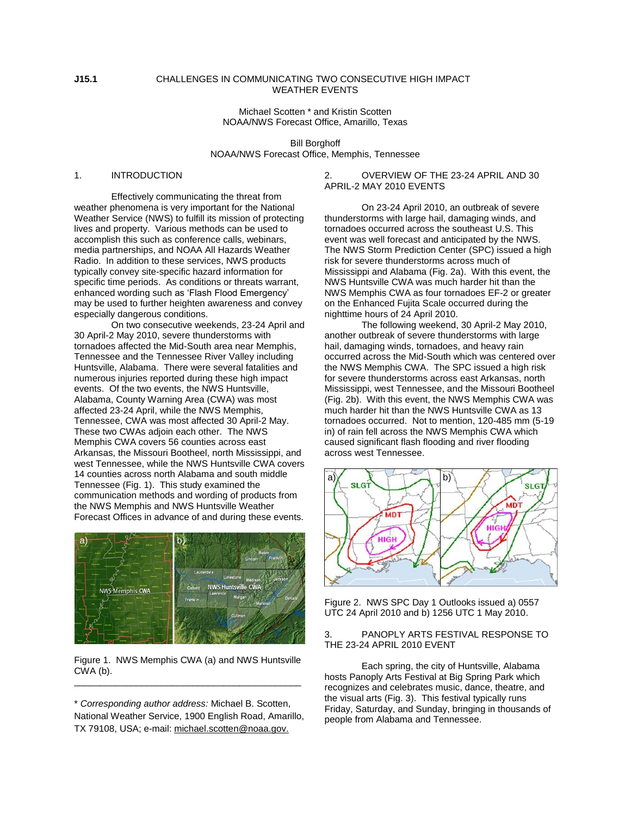## **J15.1** CHALLENGES IN COMMUNICATING TWO CONSECUTIVE HIGH IMPACT WEATHER EVENTS

Michael Scotten \* and Kristin Scotten NOAA/NWS Forecast Office, Amarillo, Texas

Bill Borghoff NOAA/NWS Forecast Office, Memphis, Tennessee

## 1. INTRODUCTION

Effectively communicating the threat from weather phenomena is very important for the National Weather Service (NWS) to fulfill its mission of protecting lives and property. Various methods can be used to accomplish this such as conference calls, webinars, media partnerships, and NOAA All Hazards Weather Radio. In addition to these services, NWS products typically convey site-specific hazard information for specific time periods. As conditions or threats warrant, enhanced wording such as 'Flash Flood Emergency' may be used to further heighten awareness and convey especially dangerous conditions.

On two consecutive weekends, 23-24 April and 30 April-2 May 2010, severe thunderstorms with tornadoes affected the Mid-South area near Memphis, Tennessee and the Tennessee River Valley including Huntsville, Alabama. There were several fatalities and numerous injuries reported during these high impact events. Of the two events, the NWS Huntsville, Alabama, County Warning Area (CWA) was most affected 23-24 April, while the NWS Memphis, Tennessee, CWA was most affected 30 April-2 May. These two CWAs adjoin each other. The NWS Memphis CWA covers 56 counties across east Arkansas, the Missouri Bootheel, north Mississippi, and west Tennessee, while the NWS Huntsville CWA covers 14 counties across north Alabama and south middle Tennessee (Fig. 1). This study examined the communication methods and wording of products from the NWS Memphis and NWS Huntsville Weather Forecast Offices in advance of and during these events.



Figure 1. NWS Memphis CWA (a) and NWS Huntsville CWA (b). \_\_\_\_\_\_\_\_\_\_\_\_\_\_\_\_\_\_\_\_\_\_\_\_\_\_\_\_\_\_\_\_\_\_\_\_\_\_\_\_\_\_\_\_

\* *Corresponding author address:* Michael B. Scotten, National Weather Service, 1900 English Road, Amarillo, TX 79108, USA; e-mail: michael.scotten@noaa.gov.

## 2. OVERVIEW OF THE 23-24 APRIL AND 30 APRIL-2 MAY 2010 EVENTS

On 23-24 April 2010, an outbreak of severe thunderstorms with large hail, damaging winds, and tornadoes occurred across the southeast U.S. This event was well forecast and anticipated by the NWS. The NWS Storm Prediction Center (SPC) issued a high risk for severe thunderstorms across much of Mississippi and Alabama (Fig. 2a). With this event, the NWS Huntsville CWA was much harder hit than the NWS Memphis CWA as four tornadoes EF-2 or greater on the Enhanced Fujita Scale occurred during the nighttime hours of 24 April 2010.

The following weekend, 30 April-2 May 2010, another outbreak of severe thunderstorms with large hail, damaging winds, tornadoes, and heavy rain occurred across the Mid-South which was centered over the NWS Memphis CWA. The SPC issued a high risk for severe thunderstorms across east Arkansas, north Mississippi, west Tennessee, and the Missouri Bootheel (Fig. 2b). With this event, the NWS Memphis CWA was much harder hit than the NWS Huntsville CWA as 13 tornadoes occurred. Not to mention, 120-485 mm (5-19 in) of rain fell across the NWS Memphis CWA which caused significant flash flooding and river flooding across west Tennessee.



Figure 2. NWS SPC Day 1 Outlooks issued a) 0557 UTC 24 April 2010 and b) 1256 UTC 1 May 2010.

## 3. PANOPLY ARTS FESTIVAL RESPONSE TO THE 23-24 APRIL 2010 EVENT

Each spring, the city of Huntsville, Alabama hosts Panoply Arts Festival at Big Spring Park which recognizes and celebrates music, dance, theatre, and the visual arts (Fig. 3). This festival typically runs Friday, Saturday, and Sunday, bringing in thousands of people from Alabama and Tennessee.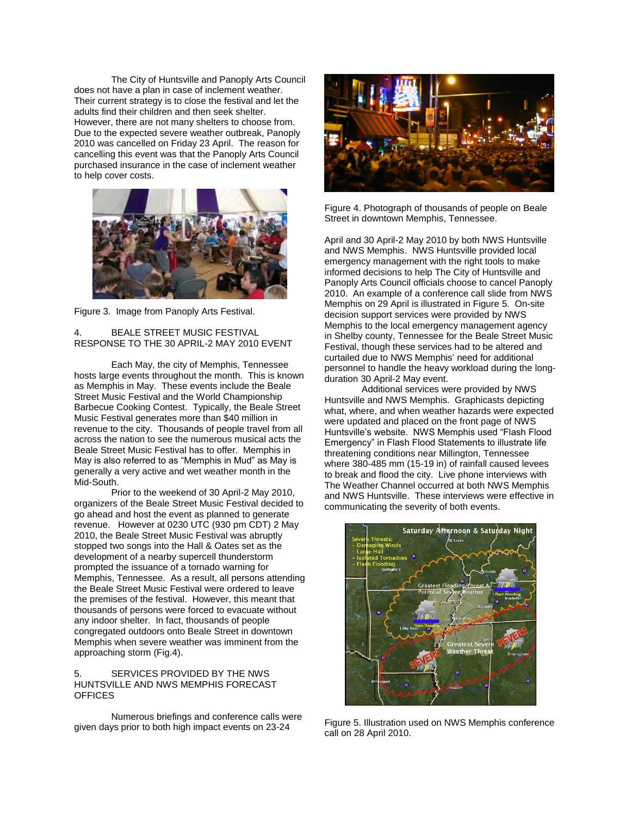The City of Huntsville and Panoply Arts Council does not have a plan in case of inclement weather. Their current strategy is to close the festival and let the adults find their children and then seek shelter. However, there are not many shelters to choose from. Due to the expected severe weather outbreak, Panoply 2010 was cancelled on Friday 23 April. The reason for cancelling this event was that the Panoply Arts Council purchased insurance in the case of inclement weather to help cover costs.



Figure 3. Image from Panoply Arts Festival.

# 4. BEALE STREET MUSIC FESTIVAL RESPONSE TO THE 30 APRIL-2 MAY 2010 EVENT

Each May, the city of Memphis, Tennessee hosts large events throughout the month. This is known as Memphis in May. These events include the Beale Street Music Festival and the World Championship Barbecue Cooking Contest. Typically, the Beale Street Music Festival generates more than \$40 million in revenue to the city. Thousands of people travel from all across the nation to see the numerous musical acts the Beale Street Music Festival has to offer. Memphis in May is also referred to as "Memphis in Mud" as May is generally a very active and wet weather month in the Mid-South.

Prior to the weekend of 30 April-2 May 2010, organizers of the Beale Street Music Festival decided to go ahead and host the event as planned to generate revenue. However at 0230 UTC (930 pm CDT) 2 May 2010, the Beale Street Music Festival was abruptly stopped two songs into the Hall & Oates set as the development of a nearby supercell thunderstorm prompted the issuance of a tornado warning for Memphis, Tennessee. As a result, all persons attending the Beale Street Music Festival were ordered to leave the premises of the festival. However, this meant that thousands of persons were forced to evacuate without any indoor shelter. In fact, thousands of people congregated outdoors onto Beale Street in downtown Memphis when severe weather was imminent from the approaching storm (Fig.4).

## SERVICES PROVIDED BY THE NWS HUNTSVILLE AND NWS MEMPHIS FORECAST **OFFICES**

Numerous briefings and conference calls were given days prior to both high impact events on 23-24



Figure 4. Photograph of thousands of people on Beale Street in downtown Memphis, Tennessee.

April and 30 April-2 May 2010 by both NWS Huntsville and NWS Memphis. NWS Huntsville provided local emergency management with the right tools to make informed decisions to help The City of Huntsville and Panoply Arts Council officials choose to cancel Panoply 2010. An example of a conference call slide from NWS Memphis on 29 April is illustrated in Figure 5. On-site decision support services were provided by NWS Memphis to the local emergency management agency in Shelby county, Tennessee for the Beale Street Music Festival, though these services had to be altered and curtailed due to NWS Memphis" need for additional personnel to handle the heavy workload during the longduration 30 April-2 May event.

Additional services were provided by NWS Huntsville and NWS Memphis. Graphicasts depicting what, where, and when weather hazards were expected were updated and placed on the front page of NWS Huntsville"s website. NWS Memphis used "Flash Flood Emergency" in Flash Flood Statements to illustrate life threatening conditions near Millington, Tennessee where 380-485 mm (15-19 in) of rainfall caused levees to break and flood the city. Live phone interviews with The Weather Channel occurred at both NWS Memphis and NWS Huntsville. These interviews were effective in communicating the severity of both events.



Figure 5. Illustration used on NWS Memphis conference call on 28 April 2010.